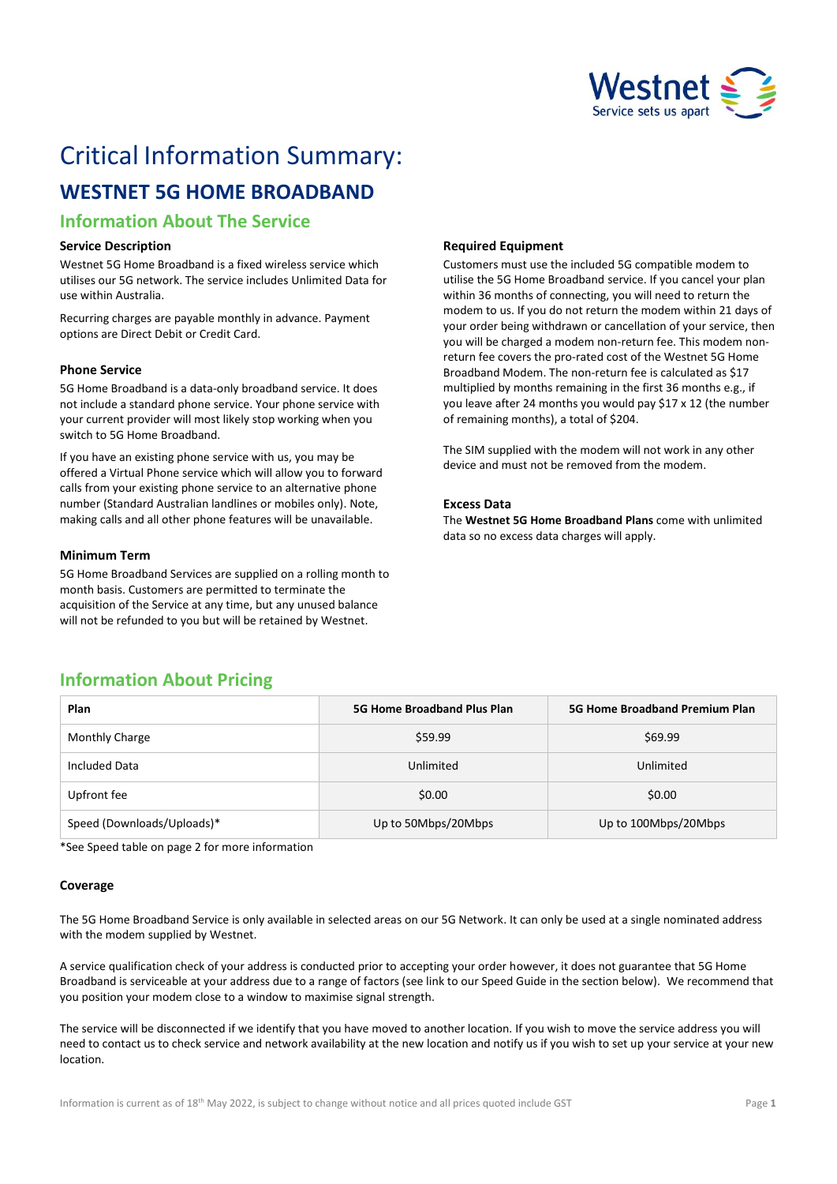

# Critical Information Summary:

# **WESTNET 5G HOME BROADBAND**

## **Information About The Service**

#### **Service Description**

Westnet 5G Home Broadband is a fixed wireless service which utilises our 5G network. The service includes Unlimited Data for use within Australia.

Recurring charges are payable monthly in advance. Payment options are Direct Debit or Credit Card.

#### **Phone Service**

5G Home Broadband is a data-only broadband service. It does not include a standard phone service. Your phone service with your current provider will most likely stop working when you switch to 5G Home Broadband.

If you have an existing phone service with us, you may be offered a Virtual Phone service which will allow you to forward calls from your existing phone service to an alternative phone number (Standard Australian landlines or mobiles only). Note, making calls and all other phone features will be unavailable.

#### **Minimum Term**

5G Home Broadband Services are supplied on a rolling month to month basis. Customers are permitted to terminate the acquisition of the Service at any time, but any unused balance will not be refunded to you but will be retained by Westnet.

#### **Required Equipment**

Customers must use the included 5G compatible modem to utilise the 5G Home Broadband service. If you cancel your plan within 36 months of connecting, you will need to return the modem to us. If you do not return the modem within 21 days of your order being withdrawn or cancellation of your service, then you will be charged a modem non-return fee. This modem nonreturn fee covers the pro-rated cost of the Westnet 5G Home Broadband Modem. The non-return fee is calculated as \$17 multiplied by months remaining in the first 36 months e.g., if you leave after 24 months you would pay \$17 x 12 (the number of remaining months), a total of \$204.

The SIM supplied with the modem will not work in any other device and must not be removed from the modem.

#### **Excess Data**

The **Westnet 5G Home Broadband Plans** come with unlimited data so no excess data charges will apply.

### **Information About Pricing**

| Plan                       | <b>5G Home Broadband Plus Plan</b> | <b>5G Home Broadband Premium Plan</b> |
|----------------------------|------------------------------------|---------------------------------------|
| <b>Monthly Charge</b>      | \$59.99                            | \$69.99                               |
| Included Data              | Unlimited                          | Unlimited                             |
| Upfront fee                | \$0.00                             | \$0.00                                |
| Speed (Downloads/Uploads)* | Up to 50Mbps/20Mbps                | Up to 100Mbps/20Mbps                  |

\*See Speed table on page 2 for more information

#### **Coverage**

The 5G Home Broadband Service is only available in selected areas on our 5G Network. It can only be used at a single nominated address with the modem supplied by Westnet.

A service qualification check of your address is conducted prior to accepting your order however, it does not guarantee that 5G Home Broadband is serviceable at your address due to a range of factors (see link to our Speed Guide in the section below). We recommend that you position your modem close to a window to maximise signal strength.

The service will be disconnected if we identify that you have moved to another location. If you wish to move the service address you will need to contact us to check service and network availability at the new location and notify us if you wish to set up your service at your new location.